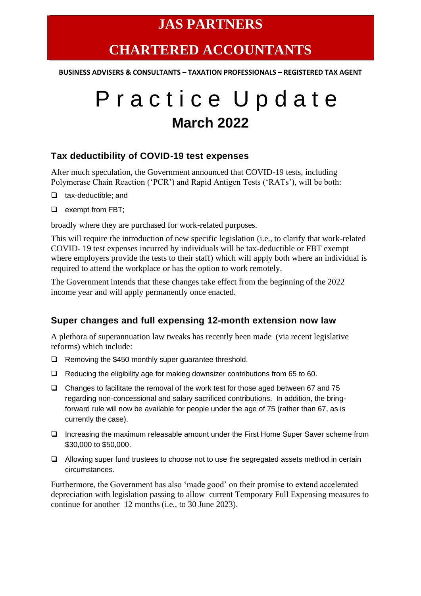### **JAS PARTNERS**

## **CHARTERED ACCOUNTANTS**

**BUSINESS ADVISERS & CONSULTANTS – TAXATION PROFESSIONALS – REGISTERED TAX AGENT**

# P r a c t i c e U p d a t e **March 2022**

#### **Tax deductibility of COVID-19 test expenses**

After much speculation, the Government announced that COVID-19 tests, including Polymerase Chain Reaction ('PCR') and Rapid Antigen Tests ('RATs'), will be both:

- ❑ tax-deductible; and
- ❑ exempt from FBT;

broadly where they are purchased for work-related purposes.

This will require the introduction of new specific legislation (i.e., to clarify that work-related COVID- 19 test expenses incurred by individuals will be tax-deductible or FBT exempt where employers provide the tests to their staff) which will apply both where an individual is required to attend the workplace or has the option to work remotely.

The Government intends that these changes take effect from the beginning of the 2022 income year and will apply permanently once enacted.

#### **Super changes and full expensing 12-month extension now law**

A plethora of superannuation law tweaks has recently been made (via recent legislative reforms) which include:

- ❑ Removing the \$450 monthly super guarantee threshold.
- ❑ Reducing the eligibility age for making downsizer contributions from 65 to 60.
- ❑ Changes to facilitate the removal of the work test for those aged between 67 and 75 regarding non-concessional and salary sacrificed contributions. In addition, the bringforward rule will now be available for people under the age of 75 (rather than 67, as is currently the case).
- ❑ Increasing the maximum releasable amount under the First Home Super Saver scheme from \$30,000 to \$50,000.
- ❑ Allowing super fund trustees to choose not to use the segregated assets method in certain circumstances.

Furthermore, the Government has also 'made good' on their promise to extend accelerated depreciation with legislation passing to allow current Temporary Full Expensing measures to continue for another 12 months (i.e., to 30 June 2023).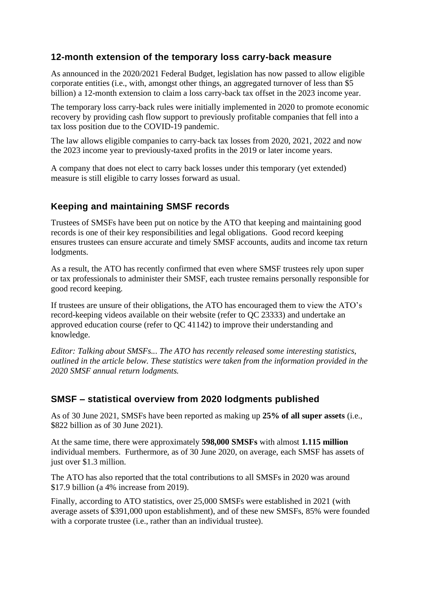#### **12-month extension of the temporary loss carry-back measure**

As announced in the 2020/2021 Federal Budget, legislation has now passed to allow eligible corporate entities (i.e., with, amongst other things, an aggregated turnover of less than \$5 billion) a 12-month extension to claim a loss carry-back tax offset in the 2023 income year.

The temporary loss carry-back rules were initially implemented in 2020 to promote economic recovery by providing cash flow support to previously profitable companies that fell into a tax loss position due to the COVID-19 pandemic.

The law allows eligible companies to carry-back tax losses from 2020, 2021, 2022 and now the 2023 income year to previously-taxed profits in the 2019 or later income years.

A company that does not elect to carry back losses under this temporary (yet extended) measure is still eligible to carry losses forward as usual.

#### **Keeping and maintaining SMSF records**

Trustees of SMSFs have been put on notice by the ATO that keeping and maintaining good records is one of their key responsibilities and legal obligations. Good record keeping ensures trustees can ensure accurate and timely SMSF accounts, audits and income tax return lodgments.

As a result, the ATO has recently confirmed that even where SMSF trustees rely upon super or tax professionals to administer their SMSF, each trustee remains personally responsible for good record keeping.

If trustees are unsure of their obligations, the ATO has encouraged them to view the ATO's record-keeping videos available on their website (refer to QC 23333) and undertake an approved education course (refer to QC 41142) to improve their understanding and knowledge.

*Editor: Talking about SMSFs... The ATO has recently released some interesting statistics, outlined in the article below. These statistics were taken from the information provided in the 2020 SMSF annual return lodgments.*

#### **SMSF – statistical overview from 2020 lodgments published**

As of 30 June 2021, SMSFs have been reported as making up **25% of all super assets** (i.e., \$822 billion as of 30 June 2021).

At the same time, there were approximately **598,000 SMSFs** with almost **1.115 million** individual members. Furthermore, as of 30 June 2020, on average, each SMSF has assets of just over \$1.3 million.

The ATO has also reported that the total contributions to all SMSFs in 2020 was around \$17.9 billion (a 4% increase from 2019).

Finally, according to ATO statistics, over 25,000 SMSFs were established in 2021 (with average assets of \$391,000 upon establishment), and of these new SMSFs, 85% were founded with a corporate trustee (i.e., rather than an individual trustee).